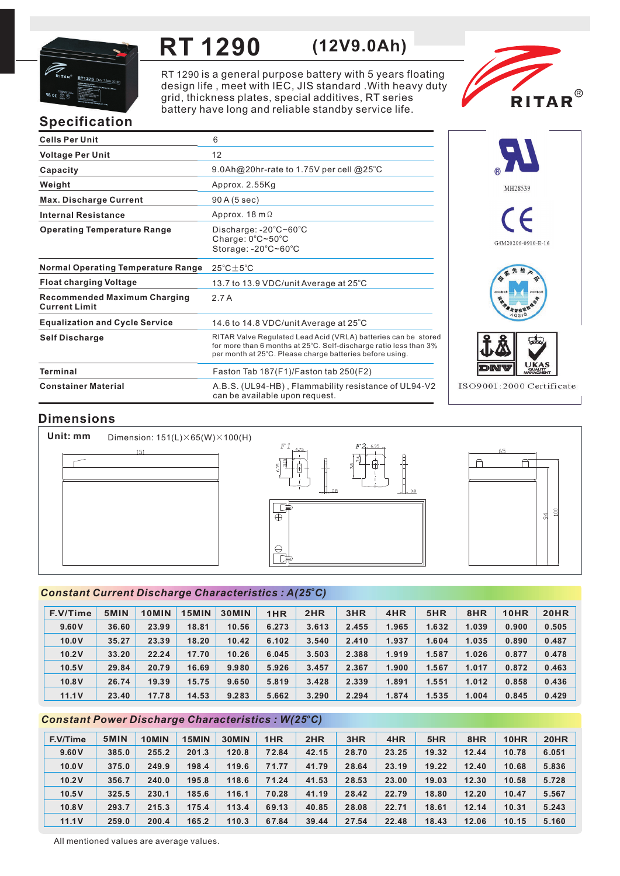

## RT 1290 (12V9.0Ah)

RT 1290 is a general purpose battery with 5 years floating design life, meet with IEC, JIS standard . With heavy duty grid, thickness plates, special additives, RT series battery have long and reliable standby service life.



# Specification

| <b>Cells Per Unit</b>                                       | 6                                                                                                                                                                                               |
|-------------------------------------------------------------|-------------------------------------------------------------------------------------------------------------------------------------------------------------------------------------------------|
| <b>Voltage Per Unit</b>                                     | 12                                                                                                                                                                                              |
| Capacity                                                    | 9.0Ah@20hr-rate to 1.75V per cell @25°C                                                                                                                                                         |
| Weight                                                      | Approx. 2.55Kg                                                                                                                                                                                  |
| <b>Max. Discharge Current</b>                               | 90 A (5 sec)                                                                                                                                                                                    |
| <b>Internal Resistance</b>                                  | Approx. 18 m $\Omega$                                                                                                                                                                           |
| <b>Operating Temperature Range</b>                          | Discharge: $-20^{\circ}$ C $\sim$ 60 $^{\circ}$ C<br>Charge: $0^{\circ}$ C $\sim$ 50 $^{\circ}$ C<br>Storage: -20°C~60°C                                                                        |
| <b>Normal Operating Temperature Range</b>                   | $25^{\circ}$ C $\pm$ 5 $^{\circ}$ C                                                                                                                                                             |
| <b>Float charging Voltage</b>                               | 13.7 to 13.9 VDC/unit Average at 25°C                                                                                                                                                           |
| <b>Recommended Maximum Charging</b><br><b>Current Limit</b> | 2.7A                                                                                                                                                                                            |
| <b>Equalization and Cycle Service</b>                       | 14.6 to 14.8 VDC/unit Average at 25°C                                                                                                                                                           |
| <b>Self Discharge</b>                                       | RITAR Valve Regulated Lead Acid (VRLA) batteries can be stored<br>for more than 6 months at 25°C. Self-discharge ratio less than 3%<br>per month at 25°C. Please charge batteries before using. |
| <b>Terminal</b>                                             | Faston Tab 187(F1)/Faston tab 250(F2)                                                                                                                                                           |
| <b>Constainer Material</b>                                  | A.B.S. (UL94-HB), Flammability resistance of UL94-V2<br>can be available upon request.                                                                                                          |



## Dimensions

Unit: mm Dimension: 151(L)×65(W)×100(H)  $151$ 





#### Constant Current Discharge Characteristics : A(25°C)

| F.V/Time | 5MIN  | 10MIN | 15MIN | <b>30MIN</b> | 1HR   | 2HR   | 3HR   | 4HR   | 5HR   | 8HR   | 10HR  | <b>20HR</b> |
|----------|-------|-------|-------|--------------|-------|-------|-------|-------|-------|-------|-------|-------------|
| 9.60V    | 36.60 | 23.99 | 18.81 | 10.56        | 6.273 | 3.613 | 2.455 | 1.965 | 1.632 | 1.039 | 0.900 | 0.505       |
| 10.0V    | 35.27 | 23.39 | 18.20 | 10.42        | 6.102 | 3.540 | 2.410 | 1.937 | 1.604 | 1.035 | 0.890 | 0.487       |
| 10.2V    | 33.20 | 22.24 | 17.70 | 10.26        | 6.045 | 3.503 | 2.388 | 1.919 | 1.587 | 1.026 | 0.877 | 0.478       |
| 10.5V    | 29.84 | 20.79 | 16.69 | 9.980        | 5.926 | 3.457 | 2.367 | 1.900 | 1.567 | 1.017 | 0.872 | 0.463       |
| 10.8V    | 26.74 | 19.39 | 15.75 | 9.650        | 5.819 | 3.428 | 2.339 | 1.891 | 1.551 | 1.012 | 0.858 | 0.436       |
| 11.1V    | 23.40 | 17.78 | 14.53 | 9.283        | 5.662 | 3.290 | 2.294 | 1.874 | 1.535 | 1.004 | 0.845 | 0.429       |

#### Constant Power Discharge Characteristics : W(25°C)

| F.V/Time | 5MIN  | 10MIN | 15MIN | 30MIN | 1HR   | 2HR   | 3HR   | 4HR   | 5HR   | 8HR   | 10HR  | <b>20HR</b> |
|----------|-------|-------|-------|-------|-------|-------|-------|-------|-------|-------|-------|-------------|
| 9.60V    | 385.0 | 255.2 | 201.3 | 120.8 | 72.84 | 42.15 | 28.70 | 23.25 | 19.32 | 12.44 | 10.78 | 6.051       |
| 10.0V    | 375.0 | 249.9 | 198.4 | 119.6 | 71.77 | 41.79 | 28.64 | 23.19 | 19.22 | 12.40 | 10.68 | 5.836       |
| 10.2V    | 356.7 | 240.0 | 195.8 | 118.6 | 71.24 | 41.53 | 28.53 | 23.00 | 19.03 | 12.30 | 10.58 | 5.728       |
| 10.5V    | 325.5 | 230.1 | 185.6 | 116.1 | 70.28 | 41.19 | 28.42 | 22.79 | 18.80 | 12.20 | 10.47 | 5.567       |
| 10.8V    | 293.7 | 215.3 | 175.4 | 113.4 | 69.13 | 40.85 | 28.08 | 22.71 | 18.61 | 12.14 | 10.31 | 5.243       |
| 11.1V    | 259.0 | 200.4 | 165.2 | 110.3 | 67.84 | 39.44 | 27.54 | 22.48 | 18.43 | 12.06 | 10.15 | 5.160       |

All mentioned values are average values.